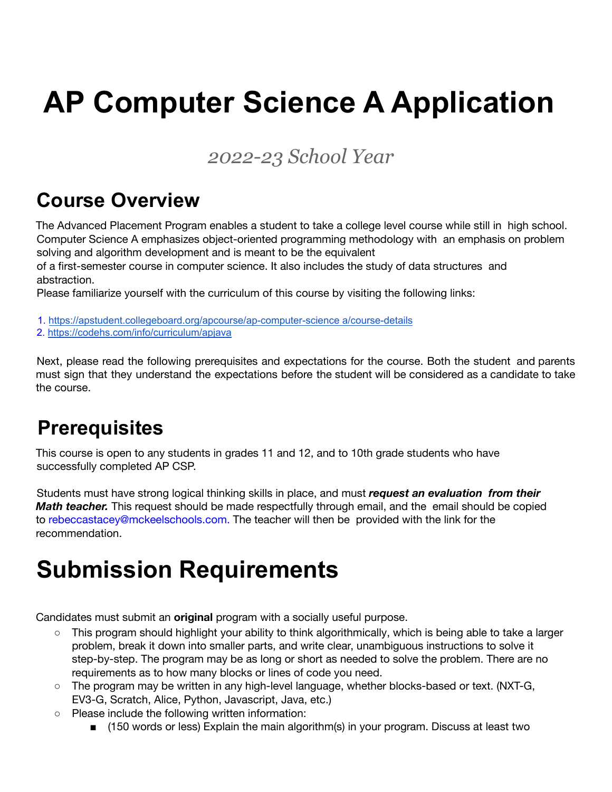# **AP Computer Science A Application**

#### *2022-23 School Year*

### **Course Overview**

The Advanced Placement Program enables a student to take a college level course while still in high school. Computer Science A emphasizes object-oriented programming methodology with an emphasis on problem solving and algorithm development and is meant to be the equivalent

of a first-semester course in computer science. It also includes the study of data structures and abstraction.

Please familiarize yourself with the curriculum of this course by visiting the following links:

1. <https://apstudent.collegeboard.org/apcourse/ap-computer-science> a/course-details

2. <https://codehs.com/info/curriculum/apjava>

Next, please read the following prerequisites and expectations for the course. Both the student and parents must sign that they understand the expectations before the student will be considered as a candidate to take the course.

# **Prerequisites**

This course is open to any students in grades 11 and 12, and to 10th grade students who have successfully completed AP CSP.

Students must have strong logical thinking skills in place, and must *request an evaluation from their Math teacher.* This request should be made respectfully through email, and the email should be copied to rebeccastacey@mckeelschools.com. The teacher will then be provided with the link for the recommendation.

# **Submission Requirements**

Candidates must submit an **original** program with a socially useful purpose.

- This program should highlight your ability to think algorithmically, which is being able to take a larger problem, break it down into smaller parts, and write clear, unambiguous instructions to solve it step-by-step. The program may be as long or short as needed to solve the problem. There are no requirements as to how many blocks or lines of code you need.
- The program may be written in any high-level language, whether blocks-based or text. (NXT-G, EV3-G, Scratch, Alice, Python, Javascript, Java, etc.)
- Please include the following written information:
	- (150 words or less) Explain the main algorithm(s) in your program. Discuss at least two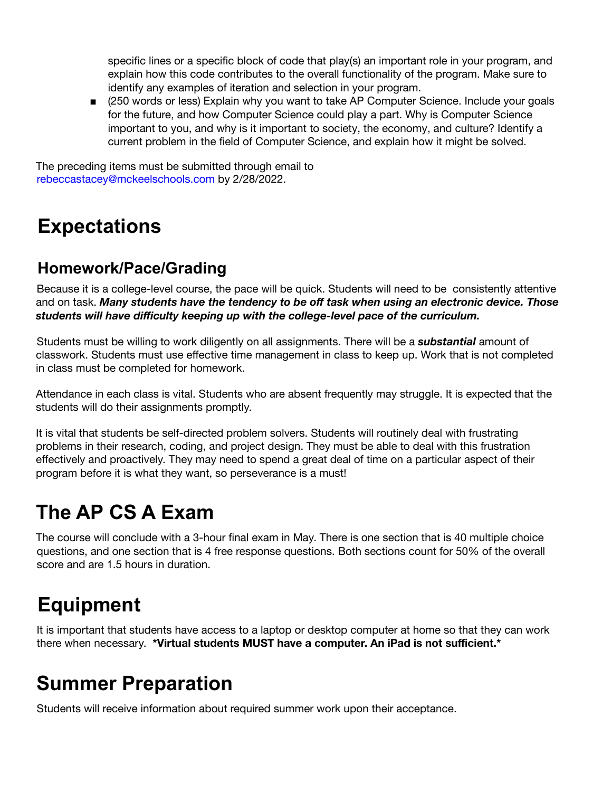specific lines or a specific block of code that play(s) an important role in your program, and explain how this code contributes to the overall functionality of the program. Make sure to identify any examples of iteration and selection in your program.

■ (250 words or less) Explain why you want to take AP Computer Science. Include your goals for the future, and how Computer Science could play a part. Why is Computer Science important to you, and why is it important to society, the economy, and culture? Identify a current problem in the field of Computer Science, and explain how it might be solved.

The preceding items must be submitted through email to rebeccastacey@mckeelschools.com by 2/28/2022.

# **Expectations**

#### **Homework/Pace/Grading**

Because it is a college-level course, the pace will be quick. Students will need to be consistently attentive and on task. *Many students have the tendency to be off task when using an electronic device. Those students will have difficulty keeping up with the college-level pace of the curriculum.*

Students must be willing to work diligently on all assignments. There will be a *substantial* amount of classwork. Students must use effective time management in class to keep up. Work that is not completed in class must be completed for homework.

Attendance in each class is vital. Students who are absent frequently may struggle. It is expected that the students will do their assignments promptly.

It is vital that students be self-directed problem solvers. Students will routinely deal with frustrating problems in their research, coding, and project design. They must be able to deal with this frustration effectively and proactively. They may need to spend a great deal of time on a particular aspect of their program before it is what they want, so perseverance is a must!

# **The AP CS A Exam**

The course will conclude with a 3-hour final exam in May. There is one section that is 40 multiple choice questions, and one section that is 4 free response questions. Both sections count for 50% of the overall score and are 1.5 hours in duration.

# **Equipment**

It is important that students have access to a laptop or desktop computer at home so that they can work there when necessary. **\*Virtual students MUST have a computer. An iPad is not sufficient.\***

# **Summer Preparation**

Students will receive information about required summer work upon their acceptance.